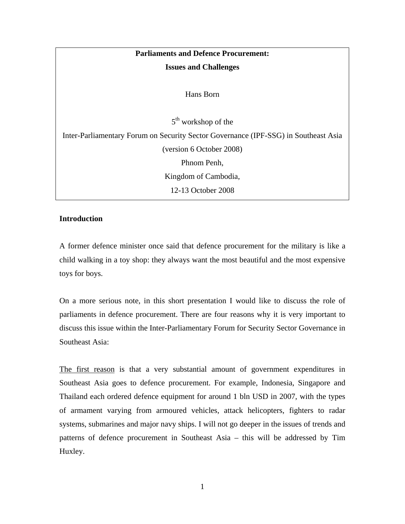| <b>Parliaments and Defence Procurement:</b>                                         |
|-------------------------------------------------------------------------------------|
| <b>Issues and Challenges</b>                                                        |
|                                                                                     |
| Hans Born                                                                           |
|                                                                                     |
| $5th$ workshop of the                                                               |
| Inter-Parliamentary Forum on Security Sector Governance (IPF-SSG) in Southeast Asia |
| (version 6 October 2008)                                                            |
| Phnom Penh,                                                                         |
| Kingdom of Cambodia,                                                                |
| 12-13 October 2008                                                                  |

# **Introduction**

A former defence minister once said that defence procurement for the military is like a child walking in a toy shop: they always want the most beautiful and the most expensive toys for boys.

On a more serious note, in this short presentation I would like to discuss the role of parliaments in defence procurement. There are four reasons why it is very important to discuss this issue within the Inter-Parliamentary Forum for Security Sector Governance in Southeast Asia:

The first reason is that a very substantial amount of government expenditures in Southeast Asia goes to defence procurement. For example, Indonesia, Singapore and Thailand each ordered defence equipment for around 1 bln USD in 2007, with the types of armament varying from armoured vehicles, attack helicopters, fighters to radar systems, submarines and major navy ships. I will not go deeper in the issues of trends and patterns of defence procurement in Southeast Asia – this will be addressed by Tim Huxley.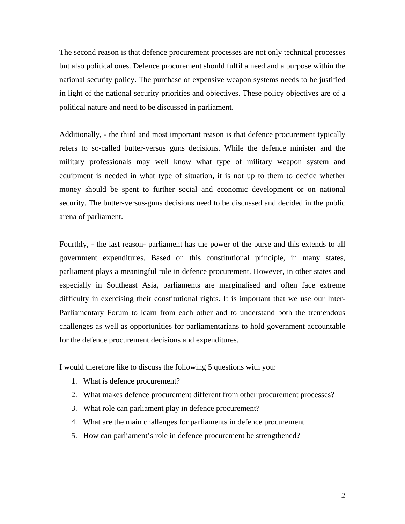The second reason is that defence procurement processes are not only technical processes but also political ones. Defence procurement should fulfil a need and a purpose within the national security policy. The purchase of expensive weapon systems needs to be justified in light of the national security priorities and objectives. These policy objectives are of a political nature and need to be discussed in parliament.

Additionally, - the third and most important reason is that defence procurement typically refers to so-called butter-versus guns decisions. While the defence minister and the military professionals may well know what type of military weapon system and equipment is needed in what type of situation, it is not up to them to decide whether money should be spent to further social and economic development or on national security. The butter-versus-guns decisions need to be discussed and decided in the public arena of parliament.

Fourthly, - the last reason- parliament has the power of the purse and this extends to all government expenditures. Based on this constitutional principle, in many states, parliament plays a meaningful role in defence procurement. However, in other states and especially in Southeast Asia, parliaments are marginalised and often face extreme difficulty in exercising their constitutional rights. It is important that we use our Inter-Parliamentary Forum to learn from each other and to understand both the tremendous challenges as well as opportunities for parliamentarians to hold government accountable for the defence procurement decisions and expenditures.

I would therefore like to discuss the following 5 questions with you:

- 1. What is defence procurement?
- 2. What makes defence procurement different from other procurement processes?
- 3. What role can parliament play in defence procurement?
- 4. What are the main challenges for parliaments in defence procurement
- 5. How can parliament's role in defence procurement be strengthened?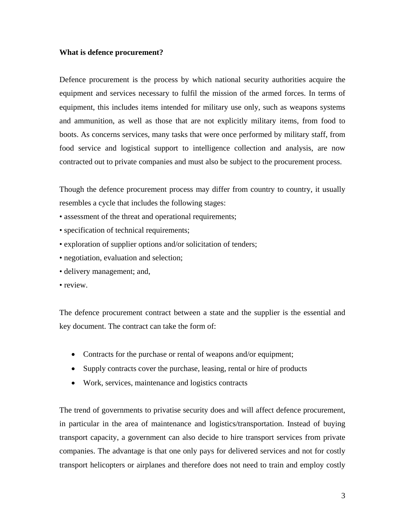## **What is defence procurement?**

Defence procurement is the process by which national security authorities acquire the equipment and services necessary to fulfil the mission of the armed forces. In terms of equipment, this includes items intended for military use only, such as weapons systems and ammunition, as well as those that are not explicitly military items, from food to boots. As concerns services, many tasks that were once performed by military staff, from food service and logistical support to intelligence collection and analysis, are now contracted out to private companies and must also be subject to the procurement process.

Though the defence procurement process may differ from country to country, it usually resembles a cycle that includes the following stages:

- assessment of the threat and operational requirements;
- specification of technical requirements;
- exploration of supplier options and/or solicitation of tenders;
- negotiation, evaluation and selection;
- delivery management; and,
- review.

The defence procurement contract between a state and the supplier is the essential and key document. The contract can take the form of:

- Contracts for the purchase or rental of weapons and/or equipment;
- Supply contracts cover the purchase, leasing, rental or hire of products
- Work, services, maintenance and logistics contracts

The trend of governments to privatise security does and will affect defence procurement, in particular in the area of maintenance and logistics/transportation. Instead of buying transport capacity, a government can also decide to hire transport services from private companies. The advantage is that one only pays for delivered services and not for costly transport helicopters or airplanes and therefore does not need to train and employ costly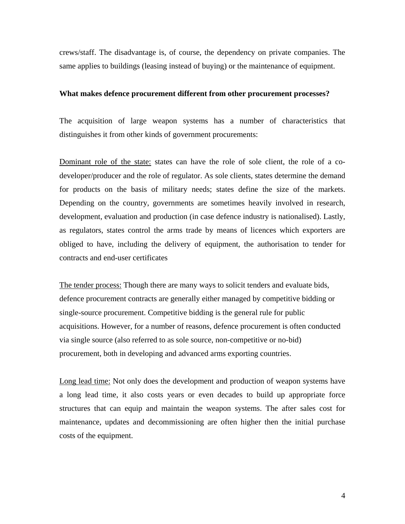crews/staff. The disadvantage is, of course, the dependency on private companies. The same applies to buildings (leasing instead of buying) or the maintenance of equipment.

#### **What makes defence procurement different from other procurement processes?**

The acquisition of large weapon systems has a number of characteristics that distinguishes it from other kinds of government procurements:

Dominant role of the state: states can have the role of sole client, the role of a codeveloper/producer and the role of regulator. As sole clients, states determine the demand for products on the basis of military needs; states define the size of the markets. Depending on the country, governments are sometimes heavily involved in research, development, evaluation and production (in case defence industry is nationalised). Lastly, as regulators, states control the arms trade by means of licences which exporters are obliged to have, including the delivery of equipment, the authorisation to tender for contracts and end-user certificates

The tender process: Though there are many ways to solicit tenders and evaluate bids, defence procurement contracts are generally either managed by competitive bidding or single-source procurement. Competitive bidding is the general rule for public acquisitions. However, for a number of reasons, defence procurement is often conducted via single source (also referred to as sole source, non-competitive or no-bid) procurement, both in developing and advanced arms exporting countries.

Long lead time: Not only does the development and production of weapon systems have a long lead time, it also costs years or even decades to build up appropriate force structures that can equip and maintain the weapon systems. The after sales cost for maintenance, updates and decommissioning are often higher then the initial purchase costs of the equipment.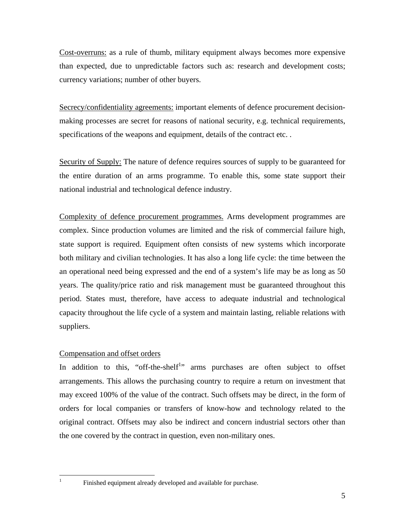Cost-overruns: as a rule of thumb, military equipment always becomes more expensive than expected, due to unpredictable factors such as: research and development costs; currency variations; number of other buyers.

Secrecy/confidentiality agreements: important elements of defence procurement decisionmaking processes are secret for reasons of national security, e.g. technical requirements, specifications of the weapons and equipment, details of the contract etc. .

Security of Supply: The nature of defence requires sources of supply to be guaranteed for the entire duration of an arms programme. To enable this, some state support their national industrial and technological defence industry.

Complexity of defence procurement programmes. Arms development programmes are complex. Since production volumes are limited and the risk of commercial failure high, state support is required. Equipment often consists of new systems which incorporate both military and civilian technologies. It has also a long life cycle: the time between the an operational need being expressed and the end of a system's life may be as long as 50 years. The quality/price ratio and risk management must be guaranteed throughout this period. States must, therefore, have access to adequate industrial and technological capacity throughout the life cycle of a system and maintain lasting, reliable relations with suppliers.

# Compensation and offset orders

 $\frac{1}{1}$ 

In addition to this, "off-the-shelf<sup>1</sup>" arms purchases are often subject to offset arrangements. This allows the purchasing country to require a return on investment that may exceed 100% of the value of the contract. Such offsets may be direct, in the form of orders for local companies or transfers of know-how and technology related to the original contract. Offsets may also be indirect and concern industrial sectors other than the one covered by the contract in question, even non-military ones.

Finished equipment already developed and available for purchase.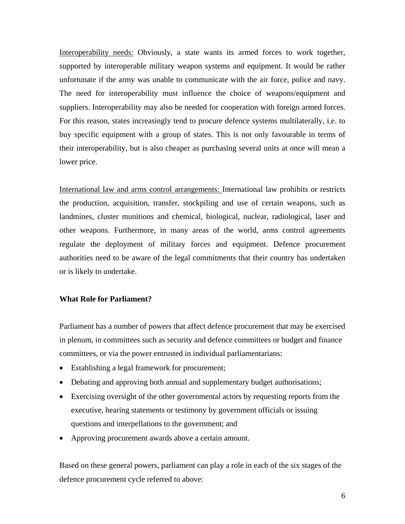Interoperability needs: Obviously, a state wants its armed forces to work together, supported by interoperable military weapon systems and equipment. It would be rather unfortunate if the army was unable to communicate with the air force, police and navy. The need for interoperability must influence the choice of weapons/equipment and suppliers. Interoperability may also be needed for cooperation with foreign armed forces. For this reason, states increasingly tend to procure defence systems multilaterally, i.e. to buy specific equipment with a group of states. This is not only favourable in terms of their interoperability, but is also cheaper as purchasing several units at once will mean a lower price.

International law and arms control arrangements: International law prohibits or restricts the production, acquisition, transfer, stockpiling and use of certain weapons, such as landmines, cluster munitions and chemical, biological, nuclear, radiological, laser and other weapons. Furthermore, in many areas of the world, arms control agreements regulate the deployment of military forces and equipment. Defence procurement authorities need to be aware of the legal commitments that their country has undertaken or is likely to undertake.

## **What Role for Parliament?**

Parliament has a number of powers that affect defence procurement that may be exercised in plenum, in committees such as security and defence committees or budget and finance committees, or via the power entrusted in individual parliamentarians:

- Establishing a legal framework for procurement;
- Debating and approving both annual and supplementary budget authorisations;
- Exercising oversight of the other governmental actors by requesting reports from the executive, hearing statements or testimony by government officials or issuing questions and interpellations to the government; and
- Approving procurement awards above a certain amount.

Based on these general powers, parliament can play a role in each of the six stages of the defence procurement cycle referred to above: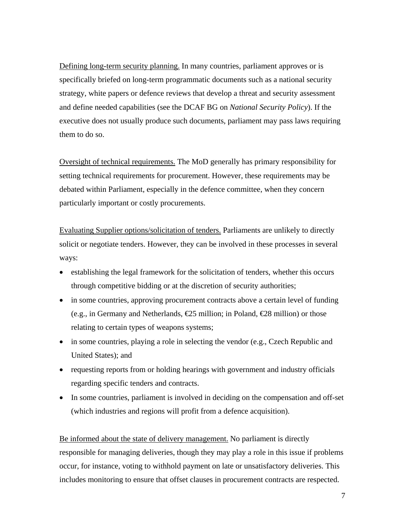Defining long-term security planning. In many countries, parliament approves or is specifically briefed on long-term programmatic documents such as a national security strategy, white papers or defence reviews that develop a threat and security assessment and define needed capabilities (see the DCAF BG on *National Security Policy*). If the executive does not usually produce such documents, parliament may pass laws requiring them to do so.

Oversight of technical requirements. The MoD generally has primary responsibility for setting technical requirements for procurement. However, these requirements may be debated within Parliament, especially in the defence committee, when they concern particularly important or costly procurements.

Evaluating Supplier options/solicitation of tenders. Parliaments are unlikely to directly solicit or negotiate tenders. However, they can be involved in these processes in several ways:

- establishing the legal framework for the solicitation of tenders, whether this occurs through competitive bidding or at the discretion of security authorities;
- in some countries, approving procurement contracts above a certain level of funding (e.g., in Germany and Netherlands,  $\epsilon$  25 million; in Poland,  $\epsilon$  28 million) or those relating to certain types of weapons systems;
- in some countries, playing a role in selecting the vendor (e.g., Czech Republic and United States); and
- requesting reports from or holding hearings with government and industry officials regarding specific tenders and contracts.
- In some countries, parliament is involved in deciding on the compensation and off-set (which industries and regions will profit from a defence acquisition).

Be informed about the state of delivery management. No parliament is directly responsible for managing deliveries, though they may play a role in this issue if problems occur, for instance, voting to withhold payment on late or unsatisfactory deliveries. This includes monitoring to ensure that offset clauses in procurement contracts are respected.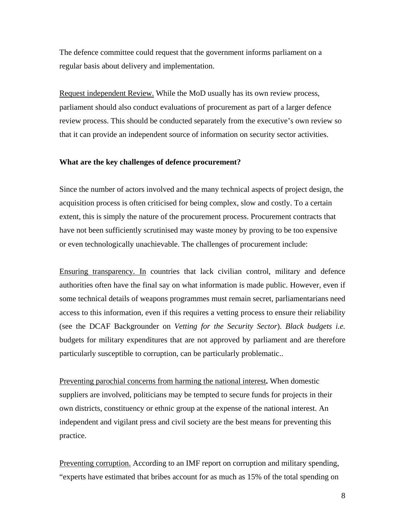The defence committee could request that the government informs parliament on a regular basis about delivery and implementation.

Request independent Review. While the MoD usually has its own review process, parliament should also conduct evaluations of procurement as part of a larger defence review process. This should be conducted separately from the executive's own review so that it can provide an independent source of information on security sector activities.

## **What are the key challenges of defence procurement?**

Since the number of actors involved and the many technical aspects of project design, the acquisition process is often criticised for being complex, slow and costly. To a certain extent, this is simply the nature of the procurement process. Procurement contracts that have not been sufficiently scrutinised may waste money by proving to be too expensive or even technologically unachievable. The challenges of procurement include:

Ensuring transparency. In countries that lack civilian control, military and defence authorities often have the final say on what information is made public. However, even if some technical details of weapons programmes must remain secret, parliamentarians need access to this information, even if this requires a vetting process to ensure their reliability (see the DCAF Backgrounder on *Vetting for the Security Sector*). *Black budgets i.e.* budgets for military expenditures that are not approved by parliament and are therefore particularly susceptible to corruption, can be particularly problematic..

Preventing parochial concerns from harming the national interest**.** When domestic suppliers are involved, politicians may be tempted to secure funds for projects in their own districts, constituency or ethnic group at the expense of the national interest. An independent and vigilant press and civil society are the best means for preventing this practice.

Preventing corruption. According to an IMF report on corruption and military spending, "experts have estimated that bribes account for as much as 15% of the total spending on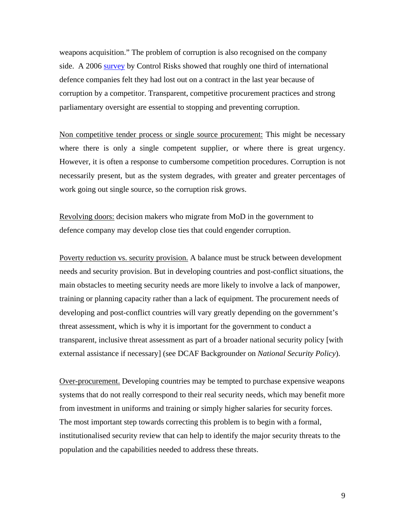weapons acquisition." The problem of corruption is also recognised on the company side. A 2006 survey by Control Risks showed that roughly one third of international defence companies felt they had lost out on a contract in the last year because of corruption by a competitor. Transparent, competitive procurement practices and strong parliamentary oversight are essential to stopping and preventing corruption.

Non competitive tender process or single source procurement: This might be necessary where there is only a single competent supplier, or where there is great urgency. However, it is often a response to cumbersome competition procedures. Corruption is not necessarily present, but as the system degrades, with greater and greater percentages of work going out single source, so the corruption risk grows.

Revolving doors: decision makers who migrate from MoD in the government to defence company may develop close ties that could engender corruption.

Poverty reduction vs. security provision. A balance must be struck between development needs and security provision. But in developing countries and post-conflict situations, the main obstacles to meeting security needs are more likely to involve a lack of manpower, training or planning capacity rather than a lack of equipment. The procurement needs of developing and post-conflict countries will vary greatly depending on the government's threat assessment, which is why it is important for the government to conduct a transparent, inclusive threat assessment as part of a broader national security policy [with external assistance if necessary] (see DCAF Backgrounder on *National Security Policy*).

Over-procurement. Developing countries may be tempted to purchase expensive weapons systems that do not really correspond to their real security needs, which may benefit more from investment in uniforms and training or simply higher salaries for security forces. The most important step towards correcting this problem is to begin with a formal, institutionalised security review that can help to identify the major security threats to the population and the capabilities needed to address these threats.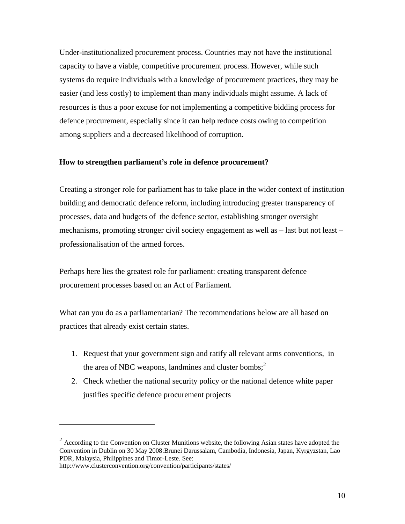Under-institutionalized procurement process. Countries may not have the institutional capacity to have a viable, competitive procurement process. However, while such systems do require individuals with a knowledge of procurement practices, they may be easier (and less costly) to implement than many individuals might assume. A lack of resources is thus a poor excuse for not implementing a competitive bidding process for defence procurement, especially since it can help reduce costs owing to competition among suppliers and a decreased likelihood of corruption.

## **How to strengthen parliament's role in defence procurement?**

Creating a stronger role for parliament has to take place in the wider context of institution building and democratic defence reform, including introducing greater transparency of processes, data and budgets of the defence sector, establishing stronger oversight mechanisms, promoting stronger civil society engagement as well as – last but not least – professionalisation of the armed forces.

Perhaps here lies the greatest role for parliament: creating transparent defence procurement processes based on an Act of Parliament.

What can you do as a parliamentarian? The recommendations below are all based on practices that already exist certain states.

- 1. Request that your government sign and ratify all relevant arms conventions, in the area of NBC weapons, landmines and cluster bombs; $<sup>2</sup>$ </sup>
- 2. Check whether the national security policy or the national defence white paper justifies specific defence procurement projects

 $\overline{a}$ 

 $2$  According to the Convention on Cluster Munitions website, the following Asian states have adopted the Convention in Dublin on 30 May 2008:Brunei Darussalam, Cambodia, Indonesia, Japan, Kyrgyzstan, Lao PDR, Malaysia, Philippines and Timor-Leste. See:

http://www.clusterconvention.org/convention/participants/states/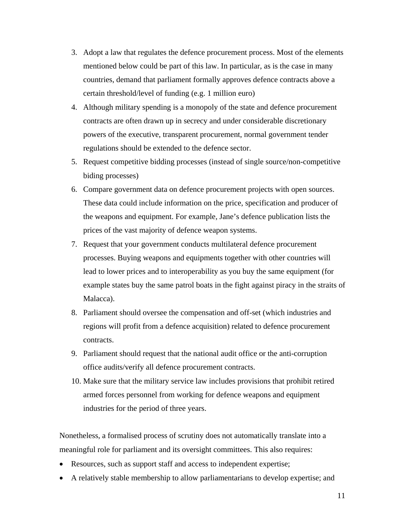- 3. Adopt a law that regulates the defence procurement process. Most of the elements mentioned below could be part of this law. In particular, as is the case in many countries, demand that parliament formally approves defence contracts above a certain threshold/level of funding (e.g. 1 million euro)
- 4. Although military spending is a monopoly of the state and defence procurement contracts are often drawn up in secrecy and under considerable discretionary powers of the executive, transparent procurement, normal government tender regulations should be extended to the defence sector.
- 5. Request competitive bidding processes (instead of single source/non-competitive biding processes)
- 6. Compare government data on defence procurement projects with open sources. These data could include information on the price, specification and producer of the weapons and equipment. For example, Jane's defence publication lists the prices of the vast majority of defence weapon systems.
- 7. Request that your government conducts multilateral defence procurement processes. Buying weapons and equipments together with other countries will lead to lower prices and to interoperability as you buy the same equipment (for example states buy the same patrol boats in the fight against piracy in the straits of Malacca).
- 8. Parliament should oversee the compensation and off-set (which industries and regions will profit from a defence acquisition) related to defence procurement contracts.
- 9. Parliament should request that the national audit office or the anti-corruption office audits/verify all defence procurement contracts.
- 10. Make sure that the military service law includes provisions that prohibit retired armed forces personnel from working for defence weapons and equipment industries for the period of three years.

Nonetheless, a formalised process of scrutiny does not automatically translate into a meaningful role for parliament and its oversight committees. This also requires:

- Resources, such as support staff and access to independent expertise;
- A relatively stable membership to allow parliamentarians to develop expertise; and